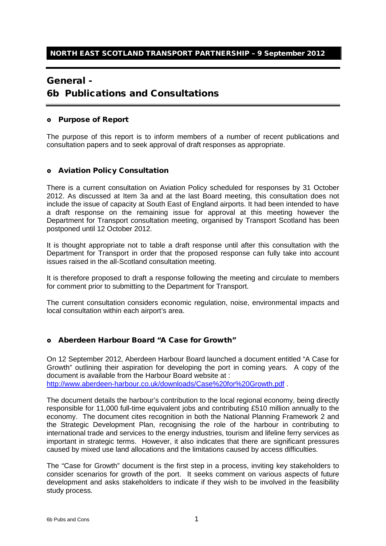## General -

# 6b Publications and Consultations

#### Purpose of Report

The purpose of this report is to inform members of a number of recent publications and consultation papers and to seek approval of draft responses as appropriate.

#### Aviation Policy Consultation

There is a current consultation on Aviation Policy scheduled for responses by 31 October 2012. As discussed at Item 3a and at the last Board meeting, this consultation does not include the issue of capacity at South East of England airports. It had been intended to have a draft response on the remaining issue for approval at this meeting however the Department for Transport consultation meeting, organised by Transport Scotland has been postponed until 12 October 2012.

It is thought appropriate not to table a draft response until after this consultation with the Department for Transport in order that the proposed response can fully take into account issues raised in the all-Scotland consultation meeting.

It is therefore proposed to draft a response following the meeting and circulate to members for comment prior to submitting to the Department for Transport.

The current consultation considers economic regulation, noise, environmental impacts and local consultation within each airport's area.

#### Aberdeen Harbour Board "A Case for Growth"

On 12 September 2012, Aberdeen Harbour Board launched a document entitled "A Case for Growth" outlining their aspiration for developing the port in coming years. A copy of the document is available from the Harbour Board website at :

<http://www.aberdeen-harbour.co.uk/downloads/Case%20for%20Growth.pdf> .

The document details the harbour's contribution to the local regional economy, being directly responsible for 11,000 full-time equivalent jobs and contributing £510 million annually to the economy. The document cites recognition in both the National Planning Framework 2 and the Strategic Development Plan, recognising the role of the harbour in contributing to international trade and services to the energy industries, tourism and lifeline ferry services as important in strategic terms. However, it also indicates that there are significant pressures caused by mixed use land allocations and the limitations caused by access difficulties.

The "Case for Growth" document is the first step in a process, inviting key stakeholders to consider scenarios for growth of the port. It seeks comment on various aspects of future development and asks stakeholders to indicate if they wish to be involved in the feasibility study process.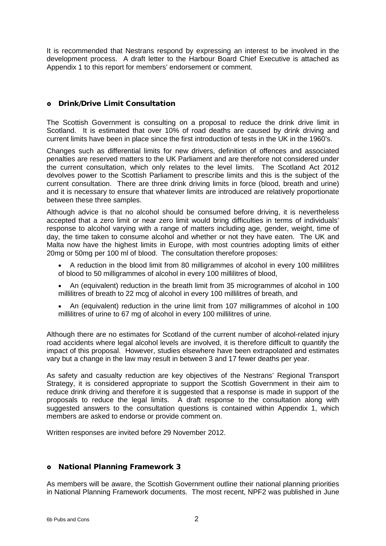It is recommended that Nestrans respond by expressing an interest to be involved in the development process. A draft letter to the Harbour Board Chief Executive is attached as Appendix 1 to this report for members' endorsement or comment.

### Drink/Drive Limit Consultation

The Scottish Government is consulting on a proposal to reduce the drink drive limit in Scotland. It is estimated that over 10% of road deaths are caused by drink driving and current limits have been in place since the first introduction of tests in the UK in the 1960's.

Changes such as differential limits for new drivers, definition of offences and associated penalties are reserved matters to the UK Parliament and are therefore not considered under the current consultation, which only relates to the level limits. The Scotland Act 2012 devolves power to the Scottish Parliament to prescribe limits and this is the subject of the current consultation. There are three drink driving limits in force (blood, breath and urine) and it is necessary to ensure that whatever limits are introduced are relatively proportionate between these three samples.

Although advice is that no alcohol should be consumed before driving, it is nevertheless accepted that a zero limit or near zero limit would bring difficulties in terms of individuals' response to alcohol varying with a range of matters including age, gender, weight, time of day, the time taken to consume alcohol and whether or not they have eaten. The UK and Malta now have the highest limits in Europe, with most countries adopting limits of either 20mg or 50mg per 100 ml of blood. The consultation therefore proposes:

- A reduction in the blood limit from 80 milligrammes of alcohol in every 100 millilitres of blood to 50 milligrammes of alcohol in every 100 millilitres of blood,
- An (equivalent) reduction in the breath limit from 35 microgrammes of alcohol in 100 millilitres of breath to 22 mcg of alcohol in every 100 millilitres of breath, and
- An (equivalent) reduction in the urine limit from 107 milligrammes of alcohol in 100 millilitres of urine to 67 mg of alcohol in every 100 millilitres of urine.

Although there are no estimates for Scotland of the current number of alcohol-related injury road accidents where legal alcohol levels are involved, it is therefore difficult to quantify the impact of this proposal. However, studies elsewhere have been extrapolated and estimates vary but a change in the law may result in between 3 and 17 fewer deaths per year.

As safety and casualty reduction are key objectives of the Nestrans' Regional Transport Strategy, it is considered appropriate to support the Scottish Government in their aim to reduce drink driving and therefore it is suggested that a response is made in support of the proposals to reduce the legal limits. A draft response to the consultation along with suggested answers to the consultation questions is contained within Appendix 1, which members are asked to endorse or provide comment on.

Written responses are invited before 29 November 2012.

#### National Planning Framework 3

As members will be aware, the Scottish Government outline their national planning priorities in National Planning Framework documents. The most recent, NPF2 was published in June